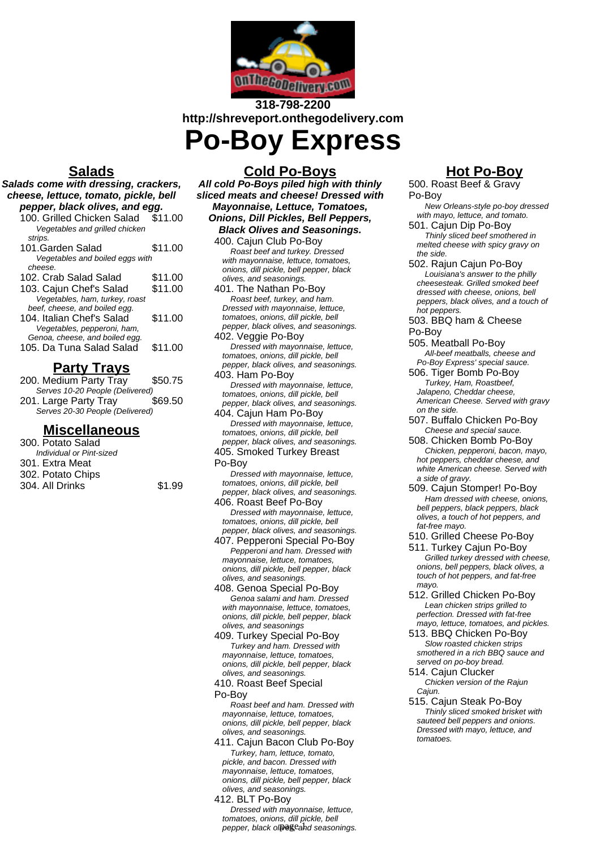

# **318-798-2200 http://shreveport.onthegodelivery.com**

**Po-Boy Express**

## **Salads**

- **Salads come with dressing, crackers, cheese, lettuce, tomato, pickle, bell pepper, black olives, and egg.** 100. Grilled Chicken Salad \$11.00
	- Vegetables and grilled chicken strips.

| 101.Garden Salad                | \$11.00 |
|---------------------------------|---------|
| Vegetables and boiled eggs with |         |
| cheese.                         |         |
| 102. Crab Salad Salad           | \$11.00 |
| 103. Cajun Chef's Salad         | \$11.00 |
| Vegetables, ham, turkey, roast  |         |

beef, cheese, and boiled egg. 104. Italian Chef's Salad \$11.00 Vegetables, pepperoni, ham, Genoa, cheese, and boiled egg. 105. Da Tuna Salad Salad \$11.00

## **Party Trays**

| 200. Medium Party Tray          | \$50.75 |  |
|---------------------------------|---------|--|
| Serves 10-20 People (Delivered) |         |  |
| 201. Large Party Tray           | \$69.50 |  |
| Serves 20-30 People (Delivered) |         |  |
|                                 |         |  |

### **Miscellaneous**

| 300. Potato Salad        |        |
|--------------------------|--------|
| Individual or Pint-sized |        |
| 301. Extra Meat          |        |
| 302. Potato Chips        |        |
| 304. All Drinks          | \$1.99 |
|                          |        |

### **Cold Po-Boys**

**All cold Po-Boys piled high with thinly sliced meats and cheese! Dressed with Mayonnaise, Lettuce, Tomatoes, Onions, Dill Pickles, Bell Peppers, Black Olives and Seasonings.**

400. Cajun Club Po-Boy Roast beef and turkey. Dressed with mayonnaise, lettuce, tomatoes, onions, dill pickle, bell pepper, black olives, and seasonings.

401. The Nathan Po-Boy Roast beef, turkey, and ham. Dressed with mayonnaise, lettuce, tomatoes, onions, dill pickle, bell pepper, black olives, and seasonings.

402. Veggie Po-Boy Dressed with mayonnaise, lettuce, tomatoes, onions, dill pickle, bell pepper, black olives, and seasonings. 403. Ham Po-Boy

Dressed with mayonnaise, lettuce, tomatoes, onions, dill pickle, bell pepper, black olives, and seasonings.

- 404. Cajun Ham Po-Boy Dressed with mayonnaise, lettuce, tomatoes, onions, dill pickle, bell pepper, black olives, and seasonings.
- 405. Smoked Turkey Breast Po-Boy

Dressed with mayonnaise, lettuce, tomatoes, onions, dill pickle, bell pepper, black olives, and seasonings.

406. Roast Beef Po-Boy Dressed with mayonnaise, lettuce, tomatoes, onions, dill pickle, bell pepper, black olives, and seasonings.

407. Pepperoni Special Po-Boy Pepperoni and ham. Dressed with mayonnaise, lettuce, tomatoes, onions, dill pickle, bell pepper, black olives, and seasonings.

408. Genoa Special Po-Boy Genoa salami and ham. Dressed with mayonnaise, lettuce, tomatoes, onions, dill pickle, bell pepper, black olives, and seasonings

409. Turkey Special Po-Boy Turkey and ham. Dressed with mayonnaise, lettuce, tomatoes, onions, dill pickle, bell pepper, black olives, and seasonings.

410. Roast Beef Special Po-Boy

Roast beef and ham. Dressed with mayonnaise, lettuce, tomatoes onions, dill pickle, bell pepper, black olives, and seasonings.

- 411. Cajun Bacon Club Po-Boy Turkey, ham, lettuce, tomato, pickle, and bacon. Dressed with mayonnaise, lettuce, tomatoes, onions, dill pickle, bell pepper, black olives, and seasonings.
- 412. BLT Po-Boy Dressed with mayonnaise, lettuce, tomatoes, onions, dill pickle, bell pepper, black olpeseahd seasonings.

# **Hot Po-Boy**

500. Roast Beef & Gravy Po-Boy New Orleans-style po-boy dressed

with mayo, lettuce, and tomato. 501. Cajun Dip Po-Boy

Thinly sliced beef smothered in melted cheese with spicy gravy on the side.

502. Rajun Cajun Po-Boy Louisiana's answer to the philly cheesesteak. Grilled smoked beef dressed with cheese, onions, bell peppers, black olives, and a touch of hot peppers.

503. BBQ ham & Cheese Po-Boy

- 505. Meatball Po-Boy All-beef meatballs, cheese and Po-Boy Express' special sauce.
- 506. Tiger Bomb Po-Boy Turkey, Ham, Roastbeef, Jalapeno, Cheddar cheese. American Cheese. Served with gravy on the side.
- 507. Buffalo Chicken Po-Boy Cheese and special sauce.
- 508. Chicken Bomb Po-Boy Chicken, pepperoni, bacon, mayo, hot peppers, cheddar cheese, and white American cheese. Served with a side of gravy.
- 509. Cajun Stomper! Po-Boy Ham dressed with cheese, onions, bell peppers, black peppers, black olives, a touch of hot peppers, and fat-free mayo.
- 510. Grilled Cheese Po-Boy
- 511. Turkey Cajun Po-Boy Grilled turkey dressed with cheese, onions, bell peppers, black olives, a touch of hot peppers, and fat-free mayo.
- 512. Grilled Chicken Po-Boy Lean chicken strips grilled to perfection. Dressed with fat-free mayo, lettuce, tomatoes, and pickles.
- 513. BBQ Chicken Po-Boy Slow roasted chicken strips smothered in a rich BBQ sauce and served on po-boy bread.
- 514. Cajun Clucker Chicken version of the Rajun Caiun.
- 515. Cajun Steak Po-Boy Thinly sliced smoked brisket with sauteed bell peppers and onions. Dressed with mayo, lettuce, and tomatoes.